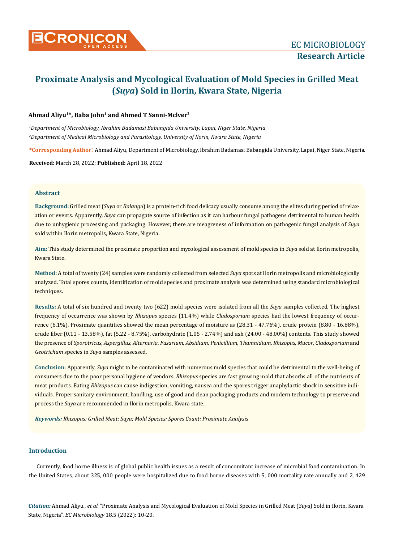# **Ahmad Aliyu1\*, Baba John1 and Ahmed T Sanni-Mclver2**

*1 Department of Microbiology, Ibrahim Badamasi Babangida University, Lapai, Niger State, Nigeria 2 Department of Medical Microbiology and Parasitology, University of Ilorin, Kwara State, Nigeria*

**\*Corresponding Author**: Ahmad Aliyu, Department of Microbiology, Ibrahim Badamasi Babangida University, Lapai, Niger State, Nigeria.

**Received:** March 28, 2022; **Published:** April 18, 2022

## **Abstract**

**Background:** Grilled meat (*Suya* or *Balangu*) is a protein-rich food delicacy usually consume among the elites during period of relaxation or events. Apparently, *Suya* can propagate source of infection as it can harbour fungal pathogens detrimental to human health due to unhygienic processing and packaging. However, there are meagreness of information on pathogenic fungal analysis of *Suya* sold within Ilorin metropolis, Kwara State, Nigeria.

**Aim:** This study determined the proximate proportion and mycological assessment of mold species in *Suya* sold at Ilorin metropolis, Kwara State.

**Method:** A total of twenty (24) samples were randomly collected from selected *Suya* spots at Ilorin metropolis and microbiologically analyzed. Total spores counts, identification of mold species and proximate analysis was determined using standard microbiological techniques.

**Results:** A total of six hundred and twenty two (622) mold species were isolated from all the *Suya* samples collected. The highest frequency of occurrence was shown by *Rhizopus* species (11.4%) while *Cladosporium* species had the lowest frequency of occurrence (6.1%). Proximate quantities showed the mean percentage of moisture as (28.31 - 47.76%), crude protein (8.80 - 16.88%), crude fiber (0.11 - 13.58%), fat (5.22 - 8.75%), carbohydrate (1.05 - 2.74%) and ash (24.00 - 48.00%) contents. This study showed the presence of *Sporotricus*, *Aspergillus*, *Alternaria*, *Fusarium*, *Absidium*, *Penicillium*, *Thamnidium*, *Rhizopus*, *Mucor*, *Cladosporium* and *Geotrichum* species in *Suya* samples assessed.

**Conclusion:** Apparently, *Suya* might to be contaminated with numerous mold species that could be detrimental to the well-being of consumers due to the poor personal hygiene of vendors. *Rhizopus* species are fast growing mold that absorbs all of the nutrients of meat products. Eating *Rhizopus* can cause indigestion, vomiting, nausea and the spores trigger anaphylactic shock in sensitive individuals. Proper sanitary environment, handling, use of good and clean packaging products and modern technology to preserve and process the *Suya* are recommended in Ilorin metropolis, Kwara state.

*Keywords: Rhizopus; Grilled Meat; Suya; Mold Species; Spores Count; Proximate Analysis*

## **Introduction**

Currently, food borne illness is of global public health issues as a result of concomitant increase of microbial food contamination. In the United States, about 325, 000 people were hospitalized due to food borne diseases with 5, 000 mortality rate annually and 2, 429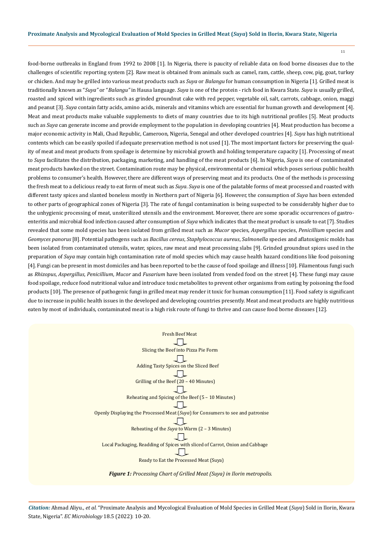11

food-borne outbreaks in England from 1992 to 2008 [1]. In Nigeria, there is paucity of reliable data on food borne diseases due to the challenges of scientific reporting system [2]. Raw meat is obtained from animals such as camel, ram, cattle, sheep, cow, pig, goat, turkey or chicken. And may be grilled into various meat products such as *Suya* or *Balangu* for human consumption in Nigeria [1]. Grilled meat is traditionally known as "*Suya"* or "*Balangu"* in Hausa language. *Suya* is one of the protein - rich food in Kwara State. *Suya* is usually grilled, roasted and spiced with ingredients such as grinded groundnut cake with red pepper, vegetable oil, salt, carrots, cabbage, onion, maggi and peanut [3]. *Suya* contain fatty acids, amino acids, minerals and vitamins which are essential for human growth and development [4]. Meat and meat products make valuable supplements to diets of many countries due to its high nutritional profiles [5]. Meat products such as *Suya* can generate income and provide employment to the population in developing countries [4]. Meat production has become a major economic activity in Mali, Chad Republic, Cameroon, Nigeria, Senegal and other developed countries [4]. *Suya* has high nutritional contents which can be easily spoiled if adequate preservation method is not used [1]. The most important factors for preserving the quality of meat and meat products from spoilage is determine by microbial growth and holding temperature capacity [1]. Processing of meat to *Suya* facilitates the distribution, packaging, marketing, and handling of the meat products [6]. In Nigeria, *Suya* is one of contaminated meat products hawked on the street. Contamination route may be physical, environmental or chemical which poses serious public health problems to consumer's health. However, there are different ways of preserving meat and its products. One of the methods is processing the fresh meat to a delicious ready to eat form of meat such as *Suya*. *Suya* is one of the palatable forms of meat processed and roasted with different tasty spices and slanted boneless mostly in Northern part of Nigeria [6]. However, the consumption of *Suya* has been extended to other parts of geographical zones of Nigeria [3]. The rate of fungal contamination is being suspected to be considerably higher due to the unhygienic processing of meat, unsterilized utensils and the environment. Moreover, there are some sporadic occurrences of gastroenteritis and microbial food infection caused after consumption of *Suya* which indicates that the meat product is unsafe to eat [7]. Studies revealed that some mold species has been isolated from grilled meat such as *Mucor* species, *Aspergillus* species, *Penicillium* species and *Geomyces panorus* [8]. Potential pathogens such as *Bacillus cereus*, *Staphylococcus aureus*, *Salmonella* species and aflatoxigenic molds has been isolated from contaminated utensils, water, spices, raw meat and meat processing slabs [9]. Grinded groundnut spices used in the preparation of *Suya* may contain high contamination rate of mold species which may cause health hazard conditions like food poisoning [4]. Fungi can be present in most domiciles and has been reported to be the cause of food spoilage and illness [10]. Filamentous fungi such as *Rhizopus*, *Aspergillus*, *Penicillium*, *Mucor* and *Fusarium* have been isolated from vended food on the street [4]. These fungi may cause food spoilage, reduce food nutritional value and introduce toxic metabolites to prevent other organisms from eating by poisoning the food products [10]. The presence of pathogenic fungi in grilled meat may render it toxic for human consumption [11]. Food safety is significant due to increase in public health issues in the developed and developing countries presently. Meat and meat products are highly nutritious eaten by most of individuals, contaminated meat is a high risk route of fungi to thrive and can cause food borne diseases [12].





*Citation:* Ahmad Aliyu*., et al.* "Proximate Analysis and Mycological Evaluation of Mold Species in Grilled Meat (*Suya*) Sold in Ilorin, Kwara State, Nigeria". *EC Microbiology* 18.5 (2022): 10-20.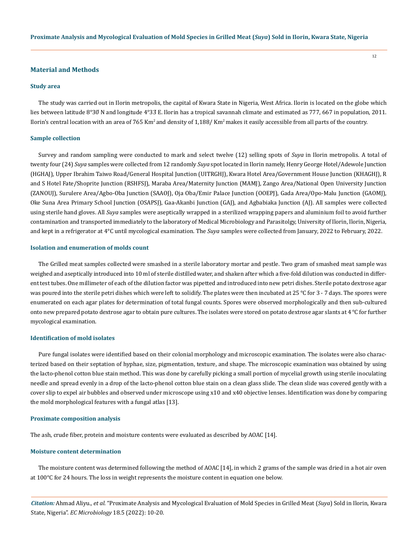#### **Material and Methods**

## **Study area**

The study was carried out in Ilorin metropolis, the capital of Kwara State in Nigeria, West Africa. Ilorin is located on the globe which lies between latitude 8°30́ N and longitude 4°33́ E. Ilorin has a tropical savannah climate and estimated as 777, 667 in population, 2011. Ilorin's central location with an area of 765 Km<sup>2</sup> and density of  $1,188/$  Km<sup>2</sup> makes it easily accessible from all parts of the country.

#### **Sample collection**

Survey and random sampling were conducted to mark and select twelve (12) selling spots of *Suya* in Ilorin metropolis. A total of twenty four (24) *Suya* samples were collected from 12 randomly *Suya* spot located in Ilorin namely, Henry George Hotel/Adewole Junction (HGHAJ), Upper Ibrahim Taiwo Road/General Hospital Junction (UITRGHJ), Kwara Hotel Area/Government House Junction (KHAGHJ), R and S Hotel Fate/Shoprite Junction (RSHFSJ), Maraba Area/Maternity Junction (MAMJ), Zango Area/National Open University Junction (ZANOUJ), Surulere Area/Agbo-Oba Junction (SAAOJ), Oja Oba/Emir Palace Junction (OOEPJ), Gada Area/Opo-Malu Junction (GAOMJ), Oke Suna Area Primary School Junction (OSAPSJ), Gaa-Akanbi Junction (GAJ), and Agbabiaka Junction (AJ). All samples were collected using sterile hand gloves. All *Suya* samples were aseptically wrapped in a sterilized wrapping papers and aluminium foil to avoid further contamination and transported immediately to the laboratory of Medical Microbiology and Parasitolgy, University of Ilorin, Ilorin, Nigeria, and kept in a refrigerator at 4°C until mycological examination. The *Suya* samples were collected from January, 2022 to February, 2022.

## **Isolation and enumeration of molds count**

The Grilled meat samples collected were smashed in a sterile laboratory mortar and pestle. Two gram of smashed meat sample was weighed and aseptically introduced into 10 ml of sterile distilled water, and shaken after which a five-fold dilution was conducted in different test tubes. One millimeter of each of the dilution factor was pipetted and introduced into new petri dishes. Sterile potato dextrose agar was poured into the sterile petri dishes which were left to solidify. The plates were then incubated at 25 °C for 3 - 7 days. The spores were enumerated on each agar plates for determination of total fungal counts. Spores were observed morphologically and then sub-cultured onto new prepared potato dextrose agar to obtain pure cultures. The isolates were stored on potato dextrose agar slants at 4 ℃ for further mycological examination.

#### **Identification of mold isolates**

Pure fungal isolates were identified based on their colonial morphology and microscopic examination. The isolates were also characterized based on their septation of hyphae, size, pigmentation, texture, and shape. The microscopic examination was obtained by using the lacto-phenol cotton blue stain method. This was done by carefully picking a small portion of mycelial growth using sterile inoculating needle and spread evenly in a drop of the lacto-phenol cotton blue stain on a clean glass slide. The clean slide was covered gently with a cover slip to expel air bubbles and observed under microscope using x10 and x40 objective lenses. Identification was done by comparing the mold morphological features with a fungal atlas [13].

#### **Proximate composition analysis**

The ash, crude fiber, protein and moisture contents were evaluated as described by AOAC [14].

#### **Moisture content determination**

The moisture content was determined following the method of AOAC [14], in which 2 grams of the sample was dried in a hot air oven at 100°C for 24 hours. The loss in weight represents the moisture content in equation one below.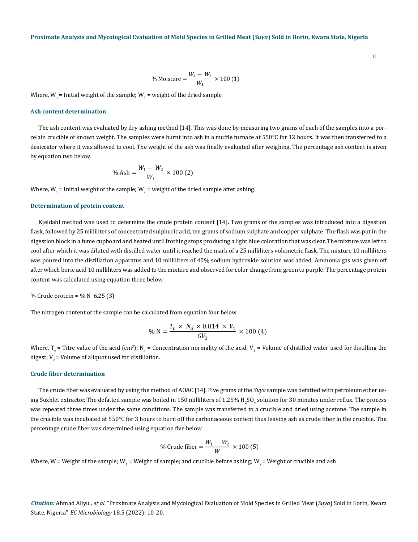% Moisture = 
$$
\frac{W_1 - W_2}{W_1} \times 100
$$
 (1)

Where, W<sub>1</sub> = Initial weight of the sample; W<sub>2</sub> = weight of the dried sample

#### **Ash content determination**

The ash content was evaluated by dry ashing method [14]. This was done by measuring two grams of each of the samples into a porcelain crucible of known weight. The samples were burnt into ash in a muffle furnace at 550°C for 12 hours. It was then transferred to a desiccator where it was allowed to cool. The weight of the ash was finally evaluated after weighing. The percentage ash content is given by equation two below.

$$
\% \text{ Ash} = \frac{W_1 - W_2}{W_1} \times 100 \text{ (2)}
$$

Where,  $W_1$  = Initial weight of the sample;  $W_2$  = weight of the dried sample after ashing.

## **Determination of protein content**

Kjeldahl method was used to determine the crude protein content [14]. Two grams of the samples was introduced into a digestion flask, followed by 25 milliliters of concentrated sulphuric acid, ten grams of sodium sulphate and copper sulphate. The flask was put in the digestion block in a fume cupboard and heated until frothing stops producing a light blue coloration that was clear. The mixture was left to cool after which it was diluted with distilled water until it reached the mark of a 25 milliliters volumetric flask. The mixture 10 milliliters was poured into the distillation apparatus and 10 milliliters of 40% sodium hydroxide solution was added. Ammonia gas was given off after which boric acid 10 milliliters was added to the mixture and observed for color change from green to purple. The percentage protein content was calculated using equation three below.

% Crude protein =  $%$  N 6.25 (3)

The nitrogen content of the sample can be calculated from equation four below.

$$
\% N = \frac{T_v \times N_a \times 0.014 \times V_1}{GV_2} \times 100 \ (4)
$$

Where, T<sub>v</sub> = Titre value of the acid (cm3); N<sub>a</sub> = Concentration normality of the acid; V<sub>1</sub> = Volume of distilled water used for distilling the digest;  $V<sub>2</sub>$  = Volume of aliquot used for distillation.

#### **Crude fiber determination**

The crude fiber was evaluated by using the method of AOAC [14]. Five grams of the *Suya* sample was defatted with petroleum ether using Soxhlet extractor. The defatted sample was boiled in  $150$  milliliters of  $1.25\%$  H $_2$ SO $_4$  solution for 30 minutes under reflux. The process was repeated three times under the same conditions. The sample was transferred to a crucible and dried using acetone. The sample in the crucible was incubated at 550℃ for 3 hours to burn off the carbonaceous content thus leaving ash as crude fiber in the crucible. The percentage crude fiber was determined using equation five below.

% Crude fiber = 
$$
\frac{W_1 - W_2}{W} \times 100
$$
 (5)

Where, W = Weight of the sample; W<sub>1</sub> = Weight of sample; and crucible before ashing; W<sub>2</sub> = Weight of crucible and ash.

*Citation:* Ahmad Aliyu*., et al.* "Proximate Analysis and Mycological Evaluation of Mold Species in Grilled Meat (*Suya*) Sold in Ilorin, Kwara State, Nigeria". *EC Microbiology* 18.5 (2022): 10-20.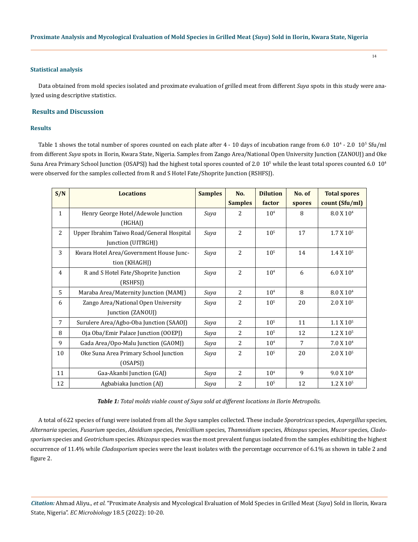#### **Statistical analysis**

Data obtained from mold species isolated and proximate evaluation of grilled meat from different *Suya* spots in this study were analyzed using descriptive statistics.

## **Results and Discussion**

#### **Results**

Table 1 shows the total number of spores counted on each plate after 4 - 10 days of incubation range from 6.0  $10^4$  - 2.0  $10^5$  Sfu/ml from different *Suya* spots in Ilorin, Kwara State, Nigeria. Samples from Zango Area/National Open University Junction (ZANOUJ) and Oke Suna Area Primary School Junction (OSAPSJ) had the highest total spores counted of 2.0  $\,10^{\circ}$  while the least total spores counted 6.0  $\,10^{\circ}$ were observed for the samples collected from R and S Hotel Fate/Shoprite Junction (RSHFSJ).

| S/N          | <b>Locations</b>                          | <b>Samples</b> | No.            | <b>Dilution</b> | No. of | <b>Total spores</b>   |  |
|--------------|-------------------------------------------|----------------|----------------|-----------------|--------|-----------------------|--|
|              |                                           |                | <b>Samples</b> | factor          | spores | count (Sfu/ml)        |  |
| $\mathbf{1}$ | Henry George Hotel/Adewole Junction       | Suya           | 2              | 10 <sup>4</sup> | 8      | 8.0 X 10 <sup>4</sup> |  |
|              | (HGHAJ)                                   |                |                |                 |        |                       |  |
| 2            | Upper Ibrahim Taiwo Road/General Hospital | Suya           | $\overline{2}$ | 10 <sup>5</sup> | 17     | 1.7 X 10 <sup>5</sup> |  |
|              | Junction (UITRGHJ)                        |                |                |                 |        |                       |  |
| 3            | Kwara Hotel Area/Government House Junc-   | Suya           | 2              | 10 <sup>5</sup> | 14     | 1.4 X 10 <sup>5</sup> |  |
|              | tion (KHAGHJ)                             |                |                |                 |        |                       |  |
| 4            | R and S Hotel Fate/Shoprite Junction      | Suya           | $\overline{2}$ | 10 <sup>4</sup> | 6      | 6.0 X 10 <sup>4</sup> |  |
|              | (RSHFSJ)                                  |                |                |                 |        |                       |  |
| 5            | Maraba Area/Maternity Junction (MAMJ)     | Suya           | $\overline{2}$ | 10 <sup>4</sup> | 8      | 8.0 X 10 <sup>4</sup> |  |
| 6            | Zango Area/National Open University       | Suya           | 2              | $10^{5}$        | 20     | 2.0 X 10 <sup>5</sup> |  |
|              | Junction (ZANOUJ)                         |                |                |                 |        |                       |  |
| 7            | Surulere Area/Agbo-Oba Junction (SAAOJ)   | Suya           | 2              | $10^{5}$        | 11     | 1.1 X 10 <sup>5</sup> |  |
| 8            | Oja Oba/Emir Palace Junction (OOEPJ)      | Suya           | $\overline{2}$ | 10 <sup>5</sup> | 12     | 1.2 X 10 <sup>5</sup> |  |
| 9            | Gada Area/Opo-Malu Junction (GAOMJ)       | Suya           | $\overline{2}$ | 10 <sup>4</sup> | 7      | 7.0 X 10 <sup>4</sup> |  |
| 10           | Oke Suna Area Primary School Junction     | Suya           | 2              | 10 <sup>5</sup> | 20     | 2.0 X 10 <sup>5</sup> |  |
|              | (OSAPS)                                   |                |                |                 |        |                       |  |
| 11           | Gaa-Akanbi Junction (GAJ)                 | Suya           | $\overline{c}$ | 10 <sup>4</sup> | 9      | 9.0 X 10 <sup>4</sup> |  |
| 12           | Agbabiaka Junction (AJ)                   | Suya           | $\overline{c}$ | 10 <sup>5</sup> | 12     | 1.2 X 10 <sup>5</sup> |  |

*Table 1: Total molds viable count of Suya sold at different locations in Ilorin Metropolis.*

A total of 622 species of fungi were isolated from all the *Suya* samples collected. These include *Sporotricus* species, *Aspergillus* species, *Alternaria* species, *Fusarium* species, *Absidium* species, *Penicillium* species, *Thamnidium* species, *Rhizopus* species, *Mucor* species, *Cladosporium* species and *Geotrichum* species. *Rhizopus* species was the most prevalent fungus isolated from the samples exhibiting the highest occurrence of 11.4% while *Cladosporium* species were the least isolates with the percentage occurrence of 6.1% as shown in table 2 and figure 2.

*Citation:* Ahmad Aliyu*., et al.* "Proximate Analysis and Mycological Evaluation of Mold Species in Grilled Meat (*Suya*) Sold in Ilorin, Kwara State, Nigeria". *EC Microbiology* 18.5 (2022): 10-20.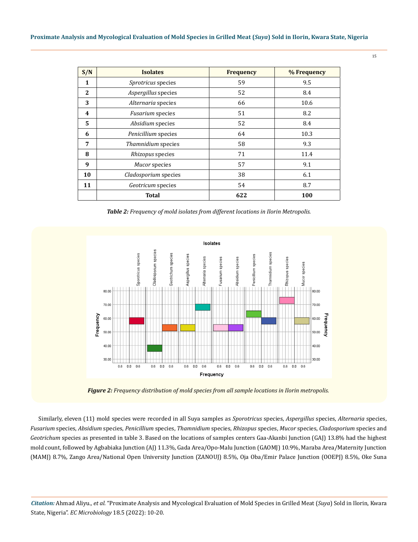| S/N          | <b>Isolates</b>         | <b>Frequency</b> | % Frequency |  |  |
|--------------|-------------------------|------------------|-------------|--|--|
| 1            | Sprotricus species      | 59               | 9.5         |  |  |
| $\mathbf{2}$ | Aspergillus species     | 52               | 8.4         |  |  |
| 3            | Alternaria species      | 66               | 10.6        |  |  |
| 4            | <b>Fusarium</b> species | 51               | 8.2         |  |  |
| 5            | Absidium species        | 52               | 8.4         |  |  |
| 6            | Penicillium species     | 64               | 10.3        |  |  |
| 7            | Thamnidium species      | 58               | 9.3         |  |  |
| 8            | Rhizopus species        | 71               | 11.4        |  |  |
| 9            | Mucor species           | 57               | 9.1         |  |  |
| 10           | Cladosporium species    | 38               | 6.1         |  |  |
| 11           | Geotricum species       | 54               | 8.7         |  |  |
|              | Total                   | 622              | 100         |  |  |

*Table 2: Frequency of mold isolates from different locations in Ilorin Metropolis.*



*Figure 2: Frequency distribution of mold species from all sample locations in Ilorin metropolis.*

Similarly, eleven (11) mold species were recorded in all Suya samples as *Sporotricus* species, *Aspergillus* species, *Alternaria* species, *Fusarium* species, *Absidium* species, *Penicillium* species, *Thamnidium* species, *Rhizopus* species, *Mucor* species, *Cladosporium* species and *Geotrichum* species as presented in table 3. Based on the locations of samples centers Gaa-Akanbi Junction (GAJ) 13.8% had the highest mold count, followed by Agbabiaka Junction (AJ) 11.3%, Gada Area/Opo-Malu Junction (GAOMJ) 10.9%, Maraba Area/Maternity Junction (MAMJ) 8.7%, Zango Area/National Open University Junction (ZANOUJ) 8.5%, Oja Oba/Emir Palace Junction (OOEPJ) 8.5%, Oke Suna

*Citation:* Ahmad Aliyu*., et al.* "Proximate Analysis and Mycological Evaluation of Mold Species in Grilled Meat (*Suya*) Sold in Ilorin, Kwara State, Nigeria". *EC Microbiology* 18.5 (2022): 10-20.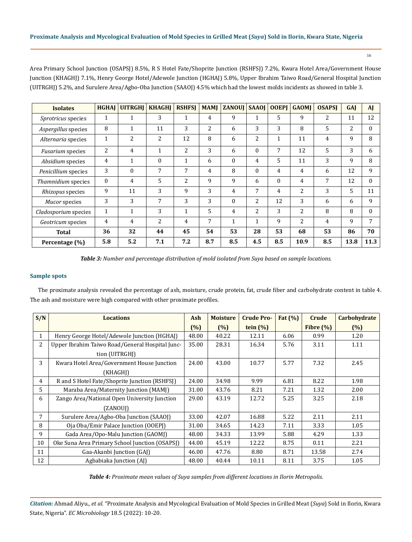16

Area Primary School Junction (OSAPSJ) 8.5%, R S Hotel Fate/Shoprite Junction (RSHFSJ) 7.2%, Kwara Hotel Area/Government House Junction (KHAGHJ) 7.1%, Henry George Hotel/Adewole Junction (HGHAJ) 5.8%, Upper Ibrahim Taiwo Road/General Hospital Junction (UITRGHJ) 5.2%, and Surulere Area/Agbo-Oba Junction (SAAOJ) 4.5% which had the lowest molds incidents as showed in table 3.

| <b>Isolates</b>         | <b>HGHAJ</b> | <b>UITRGHI</b> | <b>KHAGHJ</b>  | <b>RSHFSI</b>  | <b>MAMJ</b>    | <b>ZANOUI</b> | <b>SAAOJ</b> | <b>OOEPI</b> | <b>GAOMI</b>   | <b>OSAPSI</b> | GAI  | <b>AJ</b> |
|-------------------------|--------------|----------------|----------------|----------------|----------------|---------------|--------------|--------------|----------------|---------------|------|-----------|
| Sprotricus species      | 1            | 1              | 3              | 1              | 4              | 9             | 1            | 5            | 9              | 2             | 11   | 12        |
| Aspergillus species     | 8            | 1              | 11             | 3              | 2              | 6             | 3            | 3            | 8              | 5             | 2    | $\Omega$  |
| Alternaria species      | $\mathbf{1}$ | 2              | 2              | 12             | 8              | 6             | 2            | 1            | 11             | 4             | 9    | 8         |
| <i>Fusarium</i> species | 2            | 4              | $\mathbf{1}$   | 2              | 3              | 6             | $\theta$     | 7            | 12             | 5             | 3    | 6         |
| Absidium species        | 4            | 1              | $\Omega$       | $\mathbf{1}$   | 6              | $\Omega$      | 4            | 5            | 11             | 3             | 9    | 8         |
| Penicillium species     | 3            | $\theta$       | 7              | 7              | 4              | 8             | $\theta$     | 4            | 4              | 6             | 12   | 9         |
| Thamnidium species      | $\Omega$     | 4              | 5              | $\overline{2}$ | 9              | 9             | 6            | $\Omega$     | 4              | 7             | 12   | $\Omega$  |
| Rhizopus species        | 9            | 11             | 3              | 9              | 3              | 4             | 7            | 4            | 2              | 3             | 5    | 11        |
| Mucor species           | 3            | 3              | 7              | 3              | 3              | $\theta$      | 2            | 12           | 3              | 6             | 6    | 9         |
| Cladosporium species    | $\mathbf{1}$ | 1              | 3              | $\mathbf{1}$   | $\overline{5}$ | 4             | 2            | 3            | $\overline{2}$ | 8             | 8    | $\Omega$  |
| Geotricum species       | 4            | 4              | $\overline{2}$ | 4              | 7              | $\mathbf{1}$  | $\mathbf{1}$ | 9            | $\overline{2}$ | 4             | 9    | 7         |
| <b>Total</b>            | 36           | 32             | 44             | 45             | 54             | 53            | 28           | 53           | 68             | 53            | 86   | 70        |
| Percentage (%)          | 5.8          | 5.2            | 7.1            | 7.2            | 8.7            | 8.5           | 4.5          | 8.5          | 10.9           | 8.5           | 13.8 | 11.3      |

*Table 3: Number and percentage distribution of mold isolated from Suya based on sample locations.* 

## **Sample spots**

The proximate analysis revealed the percentage of ash, moisture, crude protein, fat, crude fiber and carbohydrate content in table 4. The ash and moisture were high compared with other proximate profiles.

| S/N          | <b>Locations</b>                                | Ash   | <b>Moisture</b> | <b>Crude Pro-</b> | Fat $(\%)$ | Crude        | Carbohydrate |
|--------------|-------------------------------------------------|-------|-----------------|-------------------|------------|--------------|--------------|
|              |                                                 | (%)   | (%)             | tein $(\%)$       |            | Fibre $(\%)$ | (%)          |
| $\mathbf{1}$ | Henry George Hotel/Adewole Junction (HGHAJ)     | 48.00 | 40.22           | 12.11             | 6.06       | 0.99         | 1.20         |
| 2            | Upper Ibrahim Taiwo Road/General Hospital Junc- | 35.00 | 28.31           | 16.34             | 5.76       | 3.11         | 1.11         |
|              | tion (UITRGHI)                                  |       |                 |                   |            |              |              |
| 3            | Kwara Hotel Area/Government House Junction      | 24.00 | 43.00           | 10.77             | 5.77       | 7.32         | 2.45         |
|              | (KHAGHI)                                        |       |                 |                   |            |              |              |
| 4            | R and S Hotel Fate/Shoprite Junction (RSHFSJ)   | 24.00 | 34.98           | 9.99              | 6.81       | 8.22         | 1.98         |
| 5.           | Maraba Area/Maternity Junction (MAMJ)           | 31.00 | 43.76           | 8.21              | 7.21       | 1.32         | 2.00         |
| 6            | Zango Area/National Open University Junction    | 29.00 | 43.19           | 12.72             | 5.25       | 3.25         | 2.18         |
|              | (ZANOUI)                                        |       |                 |                   |            |              |              |
| 7            | Surulere Area/Agbo-Oba Junction (SAAOJ)         | 33.00 | 42.07           | 16.88             | 5.22       | 2.11         | 2.11         |
| 8            | Oja Oba/Emir Palace Junction (OOEPJ)            | 31.00 | 34.65           | 14.23             | 7.11       | 3.33         | 1.05         |
| 9            | Gada Area/Opo-Malu Junction (GAOMJ)             | 48.00 | 34.33           | 13.99             | 5.88       | 4.29         | 1.33         |
| 10           | Oke Suna Area Primary School Junction (OSAPSJ)  | 44.00 | 45.19           | 12.22             | 8.75       | 0.11         | 2.21         |
| 11           | Gaa-Akanbi Junction (GAJ)                       | 46.00 | 47.76           | 8.80              | 8.71       | 13.58        | 2.74         |
| 12           | Agbabiaka Junction (AJ)                         | 48.00 | 40.44           | 10.11             | 8.11       | 3.75         | 1.05         |

*Table 4: Proximate mean values of Suya samples from different locations in Ilorin Metropolis.* 

*Citation:* Ahmad Aliyu*., et al.* "Proximate Analysis and Mycological Evaluation of Mold Species in Grilled Meat (*Suya*) Sold in Ilorin, Kwara State, Nigeria". *EC Microbiology* 18.5 (2022): 10-20.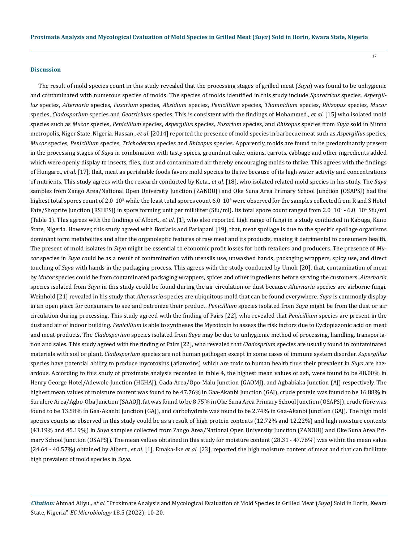#### **Discussion**

The result of mold species count in this study revealed that the processing stages of grilled meat (*Suya*) was found to be unhygienic and contaminated with numerous species of molds. The species of molds identified in this study include *Sporotricus* species, *Aspergillus* species, *Alternaria* species, *Fusarium* species, *Absidium* species, *Penicillium* species, *Thamnidium* species, *Rhizopus* species, *Mucor* species, *Cladosporium* species and *Geotrichum* species. This is consistent with the findings of Mohammed., *et al*. [15] who isolated mold species such as *Mucor* species, *Penicillium* species, *Aspergillus* species, *Fusarium* species, and *Rhizopus* species from *Suya* sold in Minna metropolis, Niger State, Nigeria. Hassan., *et al*. [2014] reported the presence of mold species in barbecue meat such as *Aspergillus* species, *Mucor* species, *Penicillium* species, *Trichoderma* species and *Rhizopus* species. Apparently, molds are found to be predominantly present in the processing stages of *Suya* in combination with tasty spices, groundnut cake, onions, carrots, cabbage and other ingredients added which were openly display to insects, flies, dust and contaminated air thereby encouraging molds to thrive. This agrees with the findings of Hungaro., *et al*. [17], that, meat as perishable foods favors mold species to thrive because of its high water activity and concentrations of nutrients. This study agrees with the research conducted by Keta., *et al*. [18], who isolated related mold species in his study. The *Suya* samples from Zango Area/National Open University Junction (ZANOUJ) and Oke Suna Area Primary School Junction (OSAPSJ) had the highest total spores count of 2.0  $10^5$  while the least total spores count 6.0  $10^4$  were observed for the samples collected from R and S Hotel Fate/Shoprite Junction (RSHFSJ) in spore forming unit per milliliter (Sfu/ml). Its total spore count ranged from 2.0  $10^5 \cdot 6.0 \cdot 10^4$  Sfu/ml (Table 1). This agrees with the findings of Albert., *et al*. [1], who also reported high range of fungi in a study conducted in Kabuga, Kano State, Nigeria. However, this study agreed with Boziaris and Parlapani [19], that, meat spoilage is due to the specific spoilage organisms dominant form metabolites and alter the organoleptic features of raw meat and its products, making it detrimental to consumers health. The present of mold isolates in *Suya* might be essential to economic profit losses for both retailers and producers. The presence of *Mucor* species in *Suya* could be as a result of contamination with utensils use, unwashed hands, packaging wrappers, spicy use, and direct touching of *Suya* with hands in the packaging process. This agrees with the study conducted by Umoh [20], that, contamination of meat by *Mucor* species could be from contaminated packaging wrappers, spices and other ingredients before serving the customers. *Alternaria* species isolated from *Suya* in this study could be found during the air circulation or dust because *Alternaria* species are airborne fungi. Weinhold [21] revealed in his study that *Alternaria* species are ubiquitous mold that can be found everywhere. *Suya* is commonly display in an open place for consumers to see and patronize their product. *Penicillium* species isolated from *Suya* might be from the dust or air circulation during processing. This study agreed with the finding of Pairs [22], who revealed that *Penicillium* species are present in the dust and air of indoor building. *Penicillium* is able to syntheses the Mycotoxin to assess the risk factors due to Cyclopiazonic acid on meat and meat products. The *Cladosporium* species isolated from *Suya* may be due to unhygienic method of processing, handling, transportation and sales. This study agreed with the finding of Pairs [22], who revealed that *Cladosprium* species are usually found in contaminated materials with soil or plant. *Cladosporium* species are not human pathogen except in some cases of immune system disorder. *Aspergillus* species have potential ability to produce mycotoxins (aflatoxins) which are toxic to human health thus their prevalent in *Suya* are hazardous. According to this study of proximate analysis recorded in table 4, the highest mean values of ash, were found to be 48.00% in Henry George Hotel/Adewole Junction (HGHAJ), Gada Area/Opo-Malu Junction (GAOMJ), and Agbabiaka Junction (AJ) respectively. The highest mean values of moisture content was found to be 47.76% in Gaa-Akanbi Junction (GAJ), crude protein was found to be 16.88% in Surulere Area/Agbo-Oba Junction (SAAOJ), fat was found to be 8.75% in Oke Suna Area Primary School Junction (OSAPSJ), crude fibre was found to be 13.58% in Gaa-Akanbi Junction (GAJ), and carbohydrate was found to be 2.74% in Gaa-Akanbi Junction (GAJ). The high mold species counts as observed in this study could be as a result of high protein contents (12.72% and 12.22%) and high moisture contents (43.19% and 45.19%) in *Suya* samples collected from Zango Area/National Open University Junction (ZANOUJ) and Oke Suna Area Primary School Junction (OSAPSJ). The mean values obtained in this study for moisture content (28.31 - 47.76%) was within the mean value (24.64 - 40.57%) obtained by Albert., *et al*. [1]. Emaka-Ike *et al*. [23], reported the high moisture content of meat and that can facilitate high prevalent of mold species in *Suya.*

*Citation:* Ahmad Aliyu*., et al.* "Proximate Analysis and Mycological Evaluation of Mold Species in Grilled Meat (*Suya*) Sold in Ilorin, Kwara State, Nigeria". *EC Microbiology* 18.5 (2022): 10-20.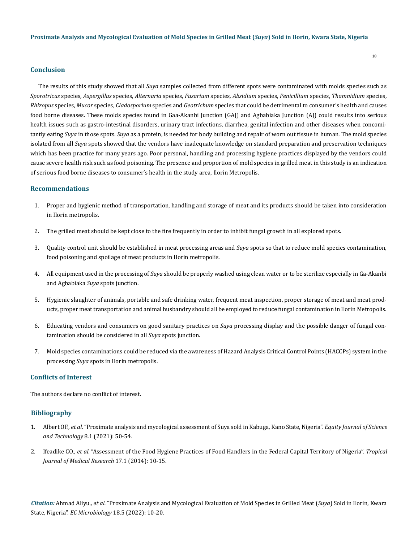## **Conclusion**

The results of this study showed that all *Suya* samples collected from different spots were contaminated with molds species such as *Sporotricus* species, *Aspergillus* species, *Alternaria* species, *Fusarium* species, *Absidium* species, *Penicillium* species, *Thamnidium* species, *Rhizopus* species, *Mucor* species, *Cladosporium* species and *Geotrichum* species that could be detrimental to consumer's health and causes food borne diseases. These molds species found in Gaa-Akanbi Junction (GAJ) and Agbabiaka Junction (AJ) could results into serious health issues such as gastro-intestinal disorders, urinary tract infections, diarrhea, genital infection and other diseases when concomitantly eating *Suya* in those spots. *Suya* as a protein, is needed for body building and repair of worn out tissue in human. The mold species isolated from all *Suya* spots showed that the vendors have inadequate knowledge on standard preparation and preservation techniques which has been practice for many years ago. Poor personal, handling and processing hygiene practices displayed by the vendors could cause severe health risk such as food poisoning. The presence and proportion of mold species in grilled meat in this study is an indication of serious food borne diseases to consumer's health in the study area, Ilorin Metropolis.

## **Recommendations**

- 1. Proper and hygienic method of transportation, handling and storage of meat and its products should be taken into consideration in Ilorin metropolis.
- 2. The grilled meat should be kept close to the fire frequently in order to inhibit fungal growth in all explored spots.
- 3. Quality control unit should be established in meat processing areas and *Suya* spots so that to reduce mold species contamination, food poisoning and spoilage of meat products in Ilorin metropolis.
- 4. All equipment used in the processing of *Suya* should be properly washed using clean water or to be sterilize especially in Ga-Akanbi and Agbabiaka *Suya* spots junction.
- 5. Hygienic slaughter of animals, portable and safe drinking water, frequent meat inspection, proper storage of meat and meat products, proper meat transportation and animal husbandry should all be employed to reduce fungal contamination in Ilorin Metropolis.
- 6. Educating vendors and consumers on good sanitary practices on *Suya* processing display and the possible danger of fungal contamination should be considered in all *Suya* spots junction.
- 7. Mold species contaminations could be reduced via the awareness of Hazard Analysis Critical Control Points (HACCPs) system in the processing *Suya* spots in Ilorin metropolis.

## **Conflicts of Interest**

The authors declare no conflict of interest.

## **Bibliography**

- 1. Albert OF., *et al*[. "Proximate analysis and mycological assessment of Suya sold in Kabuga, Kano State, Nigeria".](https://www.ejmanager.com/mnstemps/14/14-1615018901.pdf?t=1649651482) *Equity Journal of Science and Technology* [8.1 \(2021\): 50-54.](https://www.ejmanager.com/mnstemps/14/14-1615018901.pdf?t=1649651482)
- 2. Ifeadike CO., *et al*[. "Assessment of the Food Hygiene Practices of Food Handlers in the Federal Capital Territory of Nigeria".](https://www.researchgate.net/publication/277940362_Assessment_of_the_food_hygiene_practices_of_food_handlers_in_the_Federal_Capital_Territory_of_Nigeria) *Tropical [Journal of Medical Research](https://www.researchgate.net/publication/277940362_Assessment_of_the_food_hygiene_practices_of_food_handlers_in_the_Federal_Capital_Territory_of_Nigeria)* 17.1 (2014): 10-15.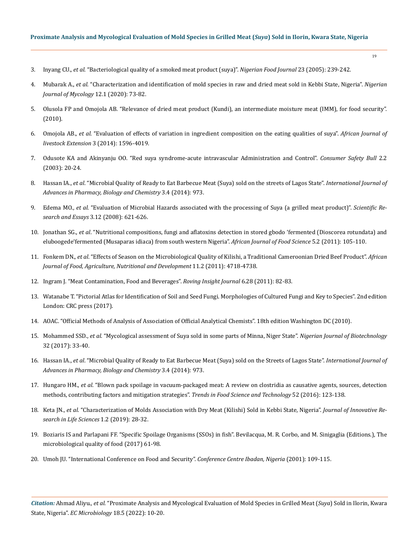- 3. Inyang CU., *et al*[. "Bacteriological quality of a smoked meat product \(suya\)".](https://www.ajol.info/index.php/nifoj/article/view/33622) *Nigerian Food Journal* 23 (2005): 239-242.
- 4. Mubarak A., *et al*[. "Characterization and identification of mold species in raw and dried meat sold in Kebbi State, Nigeria".](https://www.researchgate.net/publication/354283042_CHARACTERIZATION_AND_IDENTIFICATION_OF_MOLD_SPECIES_IN_RAW_AND_DRIED_MEAT_SOLD_IN_KEBBI_STATE_NIGERIA) *Nigerian [Journal of Mycology](https://www.researchgate.net/publication/354283042_CHARACTERIZATION_AND_IDENTIFICATION_OF_MOLD_SPECIES_IN_RAW_AND_DRIED_MEAT_SOLD_IN_KEBBI_STATE_NIGERIA)* 12.1 (2020): 73-82.
- 5. [Olusola FP and Omojola AB. "Relevance of dried meat product \(Kundi\), an intermediate moisture meat \(IMM\), for food security".](https://www.tropentag.de/2010/abstracts/posters/188.pdf)  [\(2010\).](https://www.tropentag.de/2010/abstracts/posters/188.pdf)
- 6. Omojola AB., *et al*[. "Evaluation of effects of variation in ingredient composition on the eating qualities of suya".](https://www.ajol.info/index.php/ajlex/article/view/142) *African Journal of [livestock Extension](https://www.ajol.info/index.php/ajlex/article/view/142)* 3 (2014): 1596-4019.
- 7. Odusote KA and Akinyanju OO. "Red suya syndrome-acute intravascular Administration and Control". *Consumer Safety Bull* 2.2 (2003): 20-24.
- 8. Hassan IA., *et al*[. "Microbial Quality of Ready to Eat Barbecue Meat \(Suya\) sold on the streets of Lagos State".](http://www.ijapbc.com/files/03-12-14/23-3307.pdf) *International Journal of [Advances in Pharmacy, Biology and Chemistry](http://www.ijapbc.com/files/03-12-14/23-3307.pdf)* 3.4 (2014): 973.
- 9. Edema MO., *et al*[. "Evaluation of Microbial Hazards associated with the processing of Suya \(a grilled meat product\)".](https://www.researchgate.net/publication/228375007_Evaluation_of_microbial_hazards_associated_with_the_processing_of_Suya_a_grilled_meat_product) *Scientific Research and Essays* [3.12 \(2008\): 621-626.](https://www.researchgate.net/publication/228375007_Evaluation_of_microbial_hazards_associated_with_the_processing_of_Suya_a_grilled_meat_product)
- 10. Jonathan SG., *et al*[. "Nutritional compositions, fungi and aflatoxins detection in stored gbodo 'fermented \(Dioscorea rotundata\) and](https://academicjournals.org/article/article1379513954_Jonathan%20et%20al.pdf)  [eluboogede'fermented \(Musaparas idiaca\) from south western Nigeria".](https://academicjournals.org/article/article1379513954_Jonathan%20et%20al.pdf) *African Journal of Food Science* 5.2 (2011): 105-110.
- 11. Fonkem DN., *et al*[. "Effects of Season on the Microbiological Quality of Kilishi, a Traditional Cameroonian Dried Beef Product".](https://www.cabdirect.org/cabdirect/abstract/20103259875) *African [Journal of Food, Agriculture, Nutritional and Development](https://www.cabdirect.org/cabdirect/abstract/20103259875)* 11.2 (2011): 4718-4738.
- 12. Ingram J. "Meat Contamination, Food and Beverages". *Roving Insight Journal* 6.28 (2011): 82-83.
- 13. Watanabe T. "Pictorial Atlas for Identification of Soil and Seed Fungi. Morphologies of Cultured Fungi and Key to Species". 2nd edition London: CRC press (2017).
- 14. AOAC. "Official Methods of Analysis of Association of Official Analytical Chemists". 18th edition Washington DC (2010).
- 15. Mohammed SSD., *et al*[. "Mycological assessment of Suya sold in some parts of Minna, Niger State".](https://www.google.com/url?sa=t&rct=j&q=&esrc=s&source=web&cd=&cad=rja&uact=8&ved=2ahUKEwj26b2jmYv3AhWP3jgGHSvrCEYQFnoECAUQAQ&url=https%3A%2F%2Fwww.ajol.info%2Findex.php%2Fnjb%2Farticle%2Fview%2F155264%2F144879&usg=AOvVaw1cfTXEzWqIS-TkpOmUeyPC) *Nigerian Journal of Biotechnology* [32 \(2017\): 33-40.](https://www.google.com/url?sa=t&rct=j&q=&esrc=s&source=web&cd=&cad=rja&uact=8&ved=2ahUKEwj26b2jmYv3AhWP3jgGHSvrCEYQFnoECAUQAQ&url=https%3A%2F%2Fwww.ajol.info%2Findex.php%2Fnjb%2Farticle%2Fview%2F155264%2F144879&usg=AOvVaw1cfTXEzWqIS-TkpOmUeyPC)
- 16. Hassan IA., *et al*[. "Microbial Quality of Ready to Eat Barbecue Meat \(Suya\) sold on the Streets of Lagos State".](http://www.ijapbc.com/files/03-12-14/23-3307.pdf) *International Journal of [Advances in Pharmacy, Biology and Chemistry](http://www.ijapbc.com/files/03-12-14/23-3307.pdf)* 3.4 (2014): 973.
- 17. Hungaro HM., *et al*[. "Blown pack spoilage in vacuum-packaged meat: A review on clostridia as causative agents, sources, detection](https://www.sciencedirect.com/science/article/abs/pii/S092422441530203X)  [methods, contributing factors and mitigation strategies".](https://www.sciencedirect.com/science/article/abs/pii/S092422441530203X) *Trends in Food Science and Technology* 52 (2016): 123-138.
- 18. Keta JN., *et al*[. "Characterization of Molds Association with Dry Meat \(Kilishi\) Sold in Kebbi State, Nigeria".](https://www.researchgate.net/publication/348266934_Characterization_of_Molds_Associated_with_Dry_Meat_Kilishi_Sold_in_Kebbi_State_Nigeria_An_official_publication_of_Faculty_of_Life_Sciences_KSUSTA_JIRLS_Journal_of_Innovative_Research_in_Life_Sciences) *Journal of Innovative Re[search in Life Sciences](https://www.researchgate.net/publication/348266934_Characterization_of_Molds_Associated_with_Dry_Meat_Kilishi_Sold_in_Kebbi_State_Nigeria_An_official_publication_of_Faculty_of_Life_Sciences_KSUSTA_JIRLS_Journal_of_Innovative_Research_in_Life_Sciences)* 1.2 (2019): 28-32.
- 19. Boziaris IS and Parlapani FF. "Specific Spoilage Organisms (SSOs) in fish". Bevilacqua, M. R. Corbo, and M. Sinigaglia (Editions.), The microbiological quality of food (2017) 61-98.
- 20. Umoh JU. "International Conference on Food and Security". *Conference Centre Ibadan, Nigeria* (2001): 109-115.

*Citation:* Ahmad Aliyu*., et al.* "Proximate Analysis and Mycological Evaluation of Mold Species in Grilled Meat (*Suya*) Sold in Ilorin, Kwara State, Nigeria". *EC Microbiology* 18.5 (2022): 10-20.